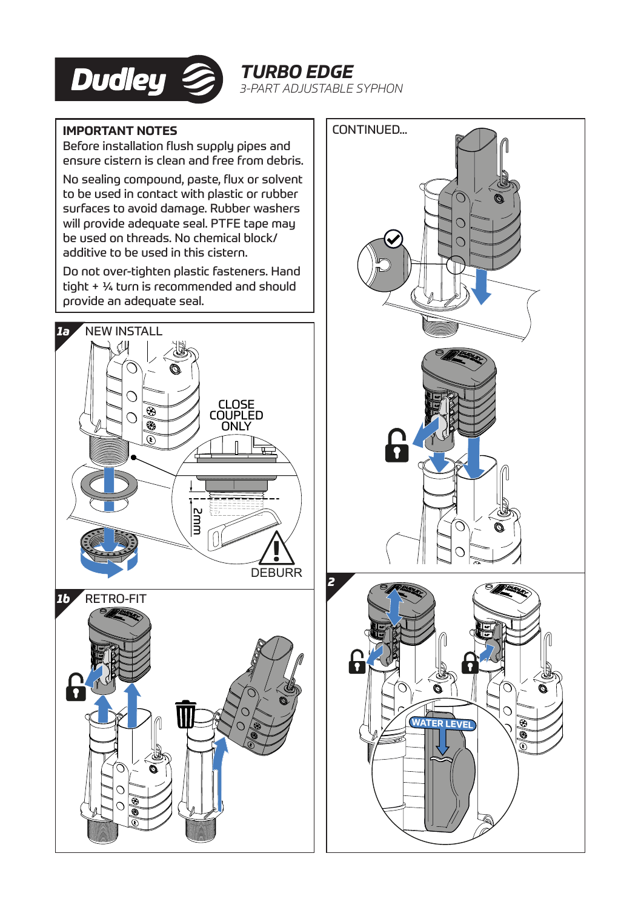

*TURBO EDGE 3-PART ADJUSTABLE SYPHON*

## **IMPORTANT NOTES**

Before installation flush supply pipes and ensure cistern is clean and free from debris.

No sealing compound, paste, flux or solvent to be used in contact with plastic or rubber surfaces to avoid damage. Rubber washers will provide adequate seal. PTFE tape may be used on threads. No chemical block/ additive to be used in this cistern.

Do not over-tighten plastic fasteners. Hand tight + ¼ turn is recommended and should provide an adequate seal.